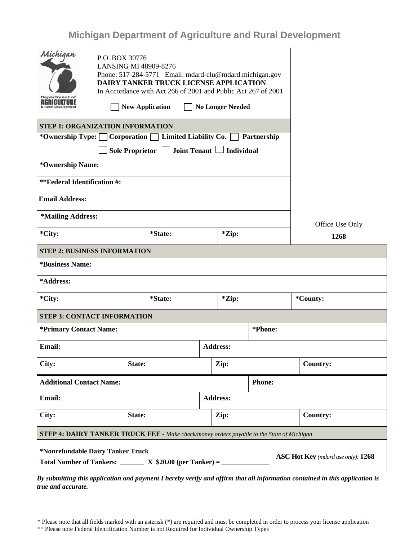## **Michigan Department of Agriculture and Rural Development**

| Michigan<br>P.O. BOX 30776<br><b>LANSING MI 48909-8276</b><br>Phone: 517-284-5771 Email: mdard-clu@mdard.michigan.gov<br><b>DAIRY TANKER TRUCK LICENSE APPLICATION</b><br>In Accordance with Act 266 of 2001 and Public Act 267 of 2001<br>Department o<br>AGRICULTUI<br><b>New Application</b><br><b>Rural Development</b><br><b>STEP 1: ORGANIZATION INFORMATION</b><br>*Ownership Type: Corporation   Limited Liability Co.<br>Sole Proprietor $\Box$<br>*Ownership Name:<br>**Federal Identification #: | Partnership    |                 |                 |                 |  |      |                                    |  |  |
|-------------------------------------------------------------------------------------------------------------------------------------------------------------------------------------------------------------------------------------------------------------------------------------------------------------------------------------------------------------------------------------------------------------------------------------------------------------------------------------------------------------|----------------|-----------------|-----------------|-----------------|--|------|------------------------------------|--|--|
| <b>Email Address:</b>                                                                                                                                                                                                                                                                                                                                                                                                                                                                                       |                |                 |                 |                 |  |      |                                    |  |  |
| *Mailing Address:                                                                                                                                                                                                                                                                                                                                                                                                                                                                                           |                | Office Use Only |                 |                 |  |      |                                    |  |  |
| *City:                                                                                                                                                                                                                                                                                                                                                                                                                                                                                                      | <i>*State:</i> |                 | *Zip:           |                 |  | 1268 |                                    |  |  |
| <b>STEP 2: BUSINESS INFORMATION</b>                                                                                                                                                                                                                                                                                                                                                                                                                                                                         |                |                 |                 |                 |  |      |                                    |  |  |
| <i><b>*Business Name:</b></i>                                                                                                                                                                                                                                                                                                                                                                                                                                                                               |                |                 |                 |                 |  |      |                                    |  |  |
| *Address:                                                                                                                                                                                                                                                                                                                                                                                                                                                                                                   |                |                 |                 |                 |  |      |                                    |  |  |
| *City:                                                                                                                                                                                                                                                                                                                                                                                                                                                                                                      |                | <i>*State:</i>  |                 | *Zip:           |  |      | *County:                           |  |  |
| <b>STEP 3: CONTACT INFORMATION</b>                                                                                                                                                                                                                                                                                                                                                                                                                                                                          |                |                 |                 |                 |  |      |                                    |  |  |
| *Primary Contact Name:                                                                                                                                                                                                                                                                                                                                                                                                                                                                                      |                |                 |                 | *Phone:         |  |      |                                    |  |  |
| <b>Email:</b>                                                                                                                                                                                                                                                                                                                                                                                                                                                                                               |                |                 | <b>Address:</b> |                 |  |      |                                    |  |  |
| City:                                                                                                                                                                                                                                                                                                                                                                                                                                                                                                       | State:         |                 |                 | Zip:            |  |      | <b>Country:</b>                    |  |  |
| <b>Additional Contact Name:</b>                                                                                                                                                                                                                                                                                                                                                                                                                                                                             |                |                 |                 | <b>Phone:</b>   |  |      |                                    |  |  |
| Email:                                                                                                                                                                                                                                                                                                                                                                                                                                                                                                      |                |                 |                 | <b>Address:</b> |  |      |                                    |  |  |
| City:                                                                                                                                                                                                                                                                                                                                                                                                                                                                                                       | State:         |                 |                 | Zip:            |  |      | <b>Country:</b>                    |  |  |
| <b>STEP 4: DAIRY TANKER TRUCK FEE - Make check/money orders payable to the State of Michigan</b>                                                                                                                                                                                                                                                                                                                                                                                                            |                |                 |                 |                 |  |      |                                    |  |  |
| *Nonrefundable Dairy Tanker Truck<br>Total Number of Tankers: ________ X $$20.00$ (per Tanker) = _______                                                                                                                                                                                                                                                                                                                                                                                                    |                |                 |                 |                 |  |      | ASC Hot Key (mdard use only): 1268 |  |  |

*By submitting this application and payment I hereby verify and affirm that all information contained in this application is true and accurate.* 

\* Please note that all fields marked with an asterisk (\*) are required and must be completed in order to process your license application

\*\* Please note Federal Identification Number is not Required for Individual Ownership Types